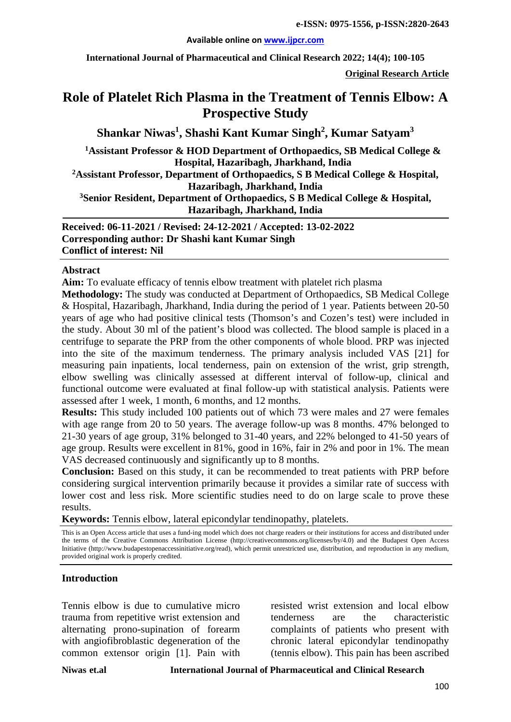#### **Available online on [www.ijpcr.com](http://www.ijpcr.com/)**

**International Journal of Pharmaceutical and Clinical Research 2022; 14(4); 100-105**

**Original Research Article**

# **Role of Platelet Rich Plasma in the Treatment of Tennis Elbow: A Prospective Study**

**Shankar Niwas<sup>1</sup> , Shashi Kant Kumar Singh2 , Kumar Satyam3**

**1 Assistant Professor & HOD Department of Orthopaedics, SB Medical College & Hospital, Hazaribagh, Jharkhand, India**

**2 Assistant Professor, Department of Orthopaedics, S B Medical College & Hospital, Hazaribagh, Jharkhand, India**

**3 Senior Resident, Department of Orthopaedics, S B Medical College & Hospital, Hazaribagh, Jharkhand, India**

**Received: 06-11-2021 / Revised: 24-12-2021 / Accepted: 13-02-2022 Corresponding author: Dr Shashi kant Kumar Singh Conflict of interest: Nil**

#### **Abstract**

**Aim:** To evaluate efficacy of tennis elbow treatment with platelet rich plasma

**Methodology:** The study was conducted at Department of Orthopaedics, SB Medical College & Hospital, Hazaribagh, Jharkhand, India during the period of 1 year. Patients between 20-50 years of age who had positive clinical tests (Thomson's and Cozen's test) were included in the study. About 30 ml of the patient's blood was collected. The blood sample is placed in a centrifuge to separate the PRP from the other components of whole blood. PRP was injected into the site of the maximum tenderness. The primary analysis included VAS [21] for measuring pain inpatients, local tenderness, pain on extension of the wrist, grip strength, elbow swelling was clinically assessed at different interval of follow-up, clinical and functional outcome were evaluated at final follow-up with statistical analysis. Patients were assessed after 1 week, 1 month, 6 months, and 12 months.

**Results:** This study included 100 patients out of which 73 were males and 27 were females with age range from 20 to 50 years. The average follow-up was 8 months. 47% belonged to 21-30 years of age group, 31% belonged to 31-40 years, and 22% belonged to 41-50 years of age group. Results were excellent in 81%, good in 16%, fair in 2% and poor in 1%. The mean VAS decreased continuously and significantly up to 8 months.

**Conclusion:** Based on this study, it can be recommended to treat patients with PRP before considering surgical intervention primarily because it provides a similar rate of success with lower cost and less risk. More scientific studies need to do on large scale to prove these results.

**Keywords:** Tennis elbow, lateral epicondylar tendinopathy, platelets.

This is an Open Access article that uses a fund-ing model which does not charge readers or their institutions for access and distributed under the terms of the Creative Commons Attribution License (http://creativecommons.org/licenses/by/4.0) and the Budapest Open Access Initiative (http://www.budapestopenaccessinitiative.org/read), which permit unrestricted use, distribution, and reproduction in any medium, provided original work is properly credited.

## **Introduction**

Tennis elbow is due to cumulative micro trauma from repetitive wrist extension and alternating prono-supination of forearm with angiofibroblastic degeneration of the common extensor origin [1]. Pain with

resisted wrist extension and local elbow tenderness are the characteristic complaints of patients who present with chronic lateral epicondylar tendinopathy (tennis elbow). This pain has been ascribed

**Niwas et.al International Journal of Pharmaceutical and Clinical Research**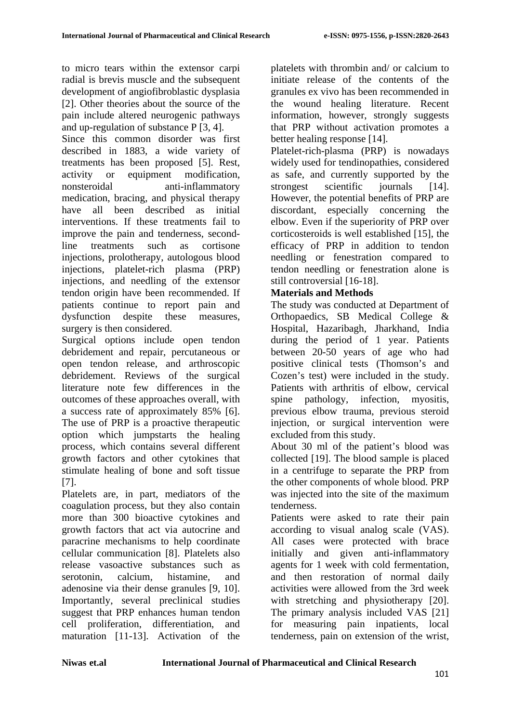to micro tears within the extensor carpi radial is brevis muscle and the subsequent development of angiofibroblastic dysplasia [2]. Other theories about the source of the pain include altered neurogenic pathways and up-regulation of substance P [3, 4].

Since this common disorder was first described in 1883, a wide variety of treatments has been proposed [5]. Rest, activity or equipment modification, nonsteroidal anti-inflammatory medication, bracing, and physical therapy have all been described as initial interventions. If these treatments fail to improve the pain and tenderness, secondline treatments such as cortisone injections, prolotherapy, autologous blood injections, platelet-rich plasma (PRP) injections, and needling of the extensor tendon origin have been recommended. If patients continue to report pain and dysfunction despite these measures, surgery is then considered.

Surgical options include open tendon debridement and repair, percutaneous or open tendon release, and arthroscopic debridement. Reviews of the surgical literature note few differences in the outcomes of these approaches overall, with a success rate of approximately 85% [6]. The use of PRP is a proactive therapeutic option which jumpstarts the healing process, which contains several different growth factors and other cytokines that stimulate healing of bone and soft tissue [7].

Platelets are, in part, mediators of the coagulation process, but they also contain more than 300 bioactive cytokines and growth factors that act via autocrine and paracrine mechanisms to help coordinate cellular communication [8]. Platelets also release vasoactive substances such as serotonin, calcium, histamine, and adenosine via their dense granules [9, 10]. Importantly, several preclinical studies suggest that PRP enhances human tendon cell proliferation, differentiation, and maturation [11-13]. Activation of the platelets with thrombin and/ or calcium to initiate release of the contents of the granules ex vivo has been recommended in the wound healing literature. Recent information, however, strongly suggests that PRP without activation promotes a better healing response [14].

Platelet-rich-plasma (PRP) is nowadays widely used for tendinopathies, considered as safe, and currently supported by the strongest scientific journals [14]. However, the potential benefits of PRP are discordant, especially concerning the elbow. Even if the superiority of PRP over corticosteroids is well established [15], the efficacy of PRP in addition to tendon needling or fenestration compared to tendon needling or fenestration alone is still controversial [16-18].

# **Materials and Methods**

The study was conducted at Department of Orthopaedics, SB Medical College & Hospital, Hazaribagh, Jharkhand, India during the period of 1 year. Patients between 20-50 years of age who had positive clinical tests (Thomson's and Cozen's test) were included in the study. Patients with arthritis of elbow, cervical spine pathology, infection, myositis, previous elbow trauma, previous steroid injection, or surgical intervention were excluded from this study.

About 30 ml of the patient's blood was collected [19]. The blood sample is placed in a centrifuge to separate the PRP from the other components of whole blood. PRP was injected into the site of the maximum tenderness.

Patients were asked to rate their pain according to visual analog scale (VAS). All cases were protected with brace initially and given anti-inflammatory agents for 1 week with cold fermentation, and then restoration of normal daily activities were allowed from the 3rd week with stretching and physiotherapy [20]. The primary analysis included VAS [21] for measuring pain inpatients, local tenderness, pain on extension of the wrist,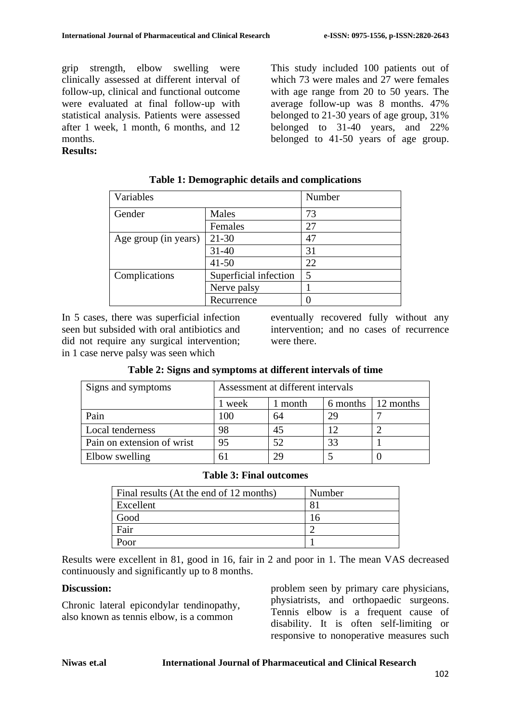grip strength, elbow swelling were clinically assessed at different interval of follow-up, clinical and functional outcome were evaluated at final follow-up with statistical analysis. Patients were assessed after 1 week, 1 month, 6 months, and 12 months.

This study included 100 patients out of which 73 were males and 27 were females with age range from 20 to 50 years. The average follow-up was 8 months. 47% belonged to 21-30 years of age group, 31% belonged to 31-40 years, and 22% belonged to 41-50 years of age group.

## **Results:**

| Variables            |                       | Number |
|----------------------|-----------------------|--------|
| Gender               | Males                 | 73     |
|                      | Females               | 27     |
| Age group (in years) | $21 - 30$             | 47     |
|                      | $31 - 40$             | 31     |
|                      | $41 - 50$             | 22     |
| Complications        | Superficial infection | 5      |
|                      | Nerve palsy           |        |
|                      | Recurrence            |        |

**Table 1: Demographic details and complications**

In 5 cases, there was superficial infection seen but subsided with oral antibiotics and did not require any surgical intervention; in 1 case nerve palsy was seen which

eventually recovered fully without any intervention; and no cases of recurrence were there.

| Signs and symptoms         | Assessment at different intervals |       |          |           |
|----------------------------|-----------------------------------|-------|----------|-----------|
|                            | week                              | month | 6 months | 12 months |
| Pain                       | 100                               | 64    | 29       |           |
| Local tenderness           | 98                                | 45    |          |           |
| Pain on extension of wrist | 95                                | 52    | 33       |           |
| Elbow swelling             |                                   | 29    |          |           |

## **Table 2: Signs and symptoms at different intervals of time**

#### **Table 3: Final outcomes**

| Final results (At the end of 12 months) | Number |
|-----------------------------------------|--------|
| Excellent                               |        |
| Good                                    | 16     |
| Fair                                    |        |
| Poor                                    |        |

Results were excellent in 81, good in 16, fair in 2 and poor in 1. The mean VAS decreased continuously and significantly up to 8 months.

# **Discussion:**

Chronic lateral epicondylar tendinopathy, also known as tennis elbow, is a common

problem seen by primary care physicians, physiatrists, and orthopaedic surgeons. Tennis elbow is a frequent cause of disability. It is often self-limiting or responsive to nonoperative measures such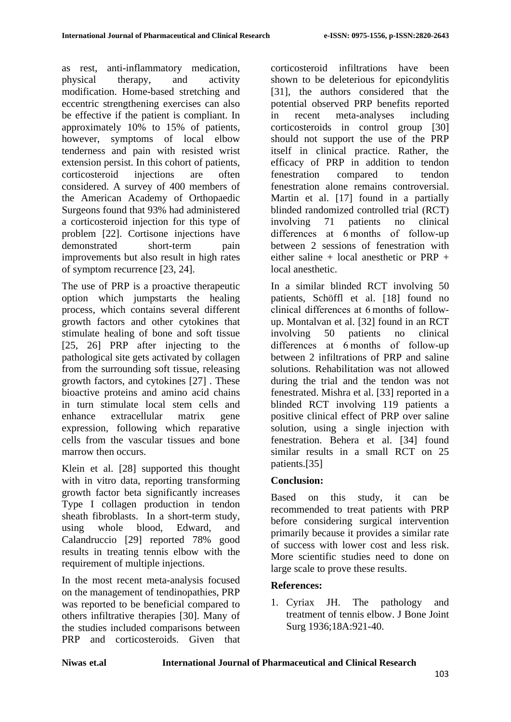as rest, anti-inflammatory medication, physical therapy, and activity modification. Home-based stretching and eccentric strengthening exercises can also be effective if the patient is compliant. In approximately 10% to 15% of patients, however, symptoms of local elbow tenderness and pain with resisted wrist extension persist. In this cohort of patients, corticosteroid injections are often considered. A survey of 400 members of the American Academy of Orthopaedic Surgeons found that 93% had administered a corticosteroid injection for this type of problem [22]. Cortisone injections have demonstrated short-term pain improvements but also result in high rates of symptom recurrence [23, 24].

The use of PRP is a proactive therapeutic option which jumpstarts the healing process, which contains several different growth factors and other cytokines that stimulate healing of bone and soft tissue [25, 26] PRP after injecting to the pathological site gets activated by collagen from the surrounding soft tissue, releasing growth factors, and cytokines [27] . These bioactive proteins and amino acid chains in turn stimulate local stem cells and enhance extracellular matrix gene expression, following which reparative cells from the vascular tissues and bone marrow then occurs.

Klein et al. [28] supported this thought with in vitro data, reporting transforming growth factor beta significantly increases Type I collagen production in tendon sheath fibroblasts. In a short-term study, using whole blood, Edward, and Calandruccio [29] reported 78% good results in treating tennis elbow with the requirement of multiple injections.

In the most recent meta-analysis focused on the management of tendinopathies, PRP was reported to be beneficial compared to others infiltrative therapies [30]. Many of the studies included comparisons between PRP and corticosteroids. Given that corticosteroid infiltrations have been shown to be deleterious for epicondylitis [31], the authors considered that the potential observed PRP benefits reported in recent meta-analyses including corticosteroids in control group [30] should not support the use of the PRP itself in clinical practice. Rather, the efficacy of PRP in addition to tendon fenestration compared to tendon fenestration alone remains controversial. Martin et al. [17] found in a partially blinded randomized controlled trial (RCT) involving 71 patients no clinical differences at 6 months of follow-up between 2 sessions of fenestration with either saline + local anesthetic or  $PRP +$ local anesthetic.

In a similar blinded RCT involving 50 patients, Schöffl et al. [18] found no clinical differences at 6 months of followup. Montalvan et al. [32] found in an RCT involving 50 patients no clinical differences at 6 months of follow-up between 2 infiltrations of PRP and saline solutions. Rehabilitation was not allowed during the trial and the tendon was not fenestrated. Mishra et al. [33] reported in a blinded RCT involving 119 patients a positive clinical effect of PRP over saline solution, using a single injection with fenestration. Behera et al. [34] found similar results in a small RCT on 25 patients.[35]

# **Conclusion:**

Based on this study, it can be recommended to treat patients with PRP before considering surgical intervention primarily because it provides a similar rate of success with lower cost and less risk. More scientific studies need to done on large scale to prove these results.

# **References:**

1. Cyriax JH. The pathology and treatment of tennis elbow. J Bone Joint Surg 1936;18A:921-40.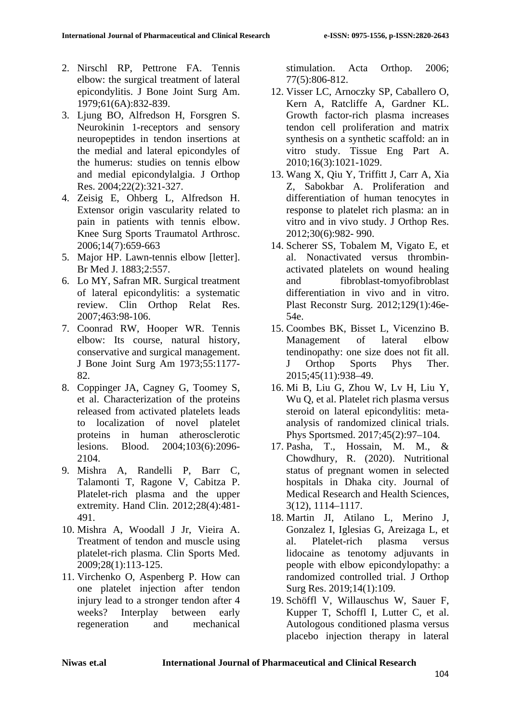- 2. Nirschl RP, Pettrone FA. Tennis elbow: the surgical treatment of lateral epicondylitis. J Bone Joint Surg Am. 1979;61(6A):832-839.
- 3. Ljung BO, Alfredson H, Forsgren S. Neurokinin 1-receptors and sensory neuropeptides in tendon insertions at the medial and lateral epicondyles of the humerus: studies on tennis elbow and medial epicondylalgia. J Orthop Res. 2004;22(2):321-327.
- 4. Zeisig E, Ohberg L, Alfredson H. Extensor origin vascularity related to pain in patients with tennis elbow. Knee Surg Sports Traumatol Arthrosc. 2006;14(7):659-663
- 5. Major HP. Lawn-tennis elbow [letter]. Br Med J. 1883;2:557.
- 6. Lo MY, Safran MR. Surgical treatment of lateral epicondylitis: a systematic review. Clin Orthop Relat Res. 2007;463:98-106.
- 7. Coonrad RW, Hooper WR. Tennis elbow: Its course, natural history, conservative and surgical management. J Bone Joint Surg Am 1973;55:1177- 82.
- 8. Coppinger JA, Cagney G, Toomey S, et al. Characterization of the proteins released from activated platelets leads to localization of novel platelet proteins in human atherosclerotic lesions. Blood. 2004;103(6):2096- 2104.
- 9. Mishra A, Randelli P, Barr C, Talamonti T, Ragone V, Cabitza P. Platelet-rich plasma and the upper extremity. Hand Clin. 2012;28(4):481- 491.
- 10. Mishra A, Woodall J Jr, Vieira A. Treatment of tendon and muscle using platelet-rich plasma. Clin Sports Med. 2009;28(1):113-125.
- 11. Virchenko O, Aspenberg P. How can one platelet injection after tendon injury lead to a stronger tendon after 4 weeks? Interplay between early regeneration and mechanical

stimulation. Acta Orthop. 2006; 77(5):806-812.

- 12. Visser LC, Arnoczky SP, Caballero O, Kern A, Ratcliffe A, Gardner KL. Growth factor-rich plasma increases tendon cell proliferation and matrix synthesis on a synthetic scaffold: an in vitro study. Tissue Eng Part A. 2010;16(3):1021-1029.
- 13. Wang X, Qiu Y, Triffitt J, Carr A, Xia Z, Sabokbar A. Proliferation and differentiation of human tenocytes in response to platelet rich plasma: an in vitro and in vivo study. J Orthop Res. 2012;30(6):982- 990.
- 14. Scherer SS, Tobalem M, Vigato E, et al. Nonactivated versus thrombinactivated platelets on wound healing and fibroblast-tomyofibroblast differentiation in vivo and in vitro. Plast Reconstr Surg. 2012;129(1):46e-54e.
- 15. Coombes BK, Bisset L, Vicenzino B. Management of lateral elbow tendinopathy: one size does not fit all. J Orthop Sports Phys Ther. 2015;45(11):938–49.
- 16. Mi B, Liu G, Zhou W, Lv H, Liu Y, Wu Q, et al. Platelet rich plasma versus steroid on lateral epicondylitis: metaanalysis of randomized clinical trials. Phys Sportsmed. 2017;45(2):97–104.
- 17. Pasha, T., Hossain, M. M., & Chowdhury, R. (2020). Nutritional status of pregnant women in selected hospitals in Dhaka city. Journal of Medical Research and Health Sciences, 3(12), 1114–1117.
- 18. Martin JI, Atilano L, Merino J, Gonzalez I, Iglesias G, Areizaga L, et al. Platelet-rich plasma versus lidocaine as tenotomy adjuvants in people with elbow epicondylopathy: a randomized controlled trial. J Orthop Surg Res. 2019;14(1):109.
- 19. Schöffl V, Willauschus W, Sauer F, Kupper T, Schoffl I, Lutter C, et al. Autologous conditioned plasma versus placebo injection therapy in lateral